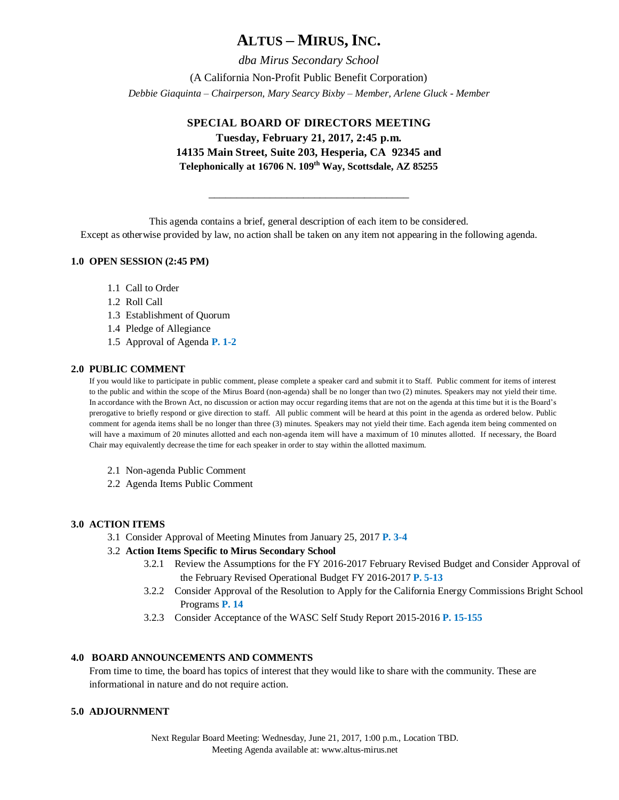# **ALTUS – MIRUS, INC.**

*dba Mirus Secondary School* (A California Non-Profit Public Benefit Corporation) *Debbie Giaquinta – Chairperson, Mary Searcy Bixby – Member, Arlene Gluck - Member*

# **SPECIAL BOARD OF DIRECTORS MEETING**

**Tuesday, February 21, 2017, 2:45 p.m. 14135 Main Street, Suite 203, Hesperia, CA 92345 and Telephonically at 16706 N. 109th Way, Scottsdale, AZ 85255**

This agenda contains a brief, general description of each item to be considered.

\_\_\_\_\_\_\_\_\_\_\_\_\_\_\_\_\_\_\_\_\_\_\_\_\_\_\_\_\_\_\_\_\_\_\_\_

Except as otherwise provided by law, no action shall be taken on any item not appearing in the following agenda.

## **1.0 OPEN SESSION (2:45 PM)**

- 1.1 Call to Order
- 1.2 Roll Call
- 1.3 Establishment of Quorum
- 1.4 Pledge of Allegiance
- 1.5 Approval of Agenda **P. 1-2**

#### **2.0 PUBLIC COMMENT**

If you would like to participate in public comment, please complete a speaker card and submit it to Staff. Public comment for items of interest to the public and within the scope of the Mirus Board (non-agenda) shall be no longer than two (2) minutes. Speakers may not yield their time. In accordance with the Brown Act, no discussion or action may occur regarding items that are not on the agenda at this time but it is the Board's prerogative to briefly respond or give direction to staff. All public comment will be heard at this point in the agenda as ordered below. Public comment for agenda items shall be no longer than three (3) minutes. Speakers may not yield their time. Each agenda item being commented on will have a maximum of 20 minutes allotted and each non-agenda item will have a maximum of 10 minutes allotted. If necessary, the Board Chair may equivalently decrease the time for each speaker in order to stay within the allotted maximum.

- 2.1 Non-agenda Public Comment
- 2.2 Agenda Items Public Comment

### **3.0 ACTION ITEMS**

3.1 Consider Approval of Meeting Minutes from January 25, 2017 **P. 3-4**

### 3.2 **Action Items Specific to Mirus Secondary School**

- 3.2.1 Review the Assumptions for the FY 2016-2017 February Revised Budget and Consider Approval of the February Revised Operational Budget FY 2016-2017 **P. 5-13**
- 3.2.2 Consider Approval of the Resolution to Apply for the California Energy Commissions Bright School Programs **P. 14**
- 3.2.3 Consider Acceptance of the WASC Self Study Report 2015-2016 **P. 15-155**

### **4.0 BOARD ANNOUNCEMENTS AND COMMENTS**

From time to time, the board has topics of interest that they would like to share with the community. These are informational in nature and do not require action.

### **5.0 ADJOURNMENT**